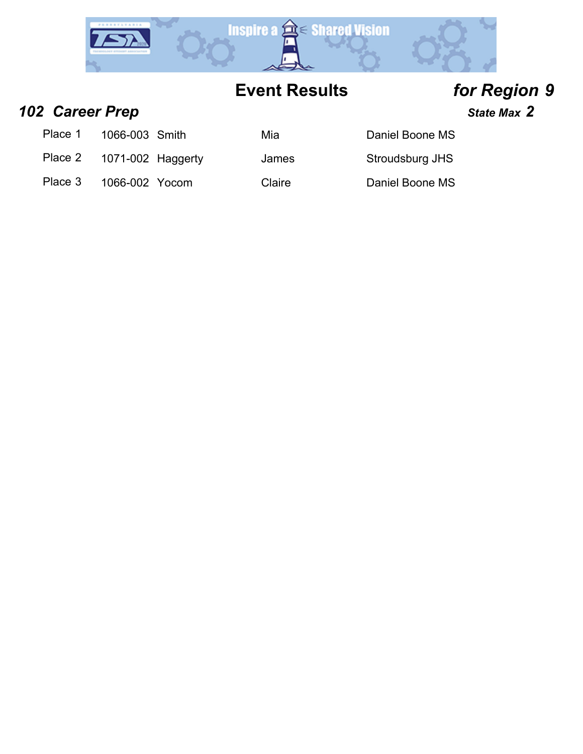

### *102 Career Prep State Max 2*

Place 1 1066-003 Smith Mia Mia Daniel Boone MS

Place 2 1071-002 Haggerty James Stroudsburg JHS

Place 3 1066-002 Yocom Claire Daniel Boone MS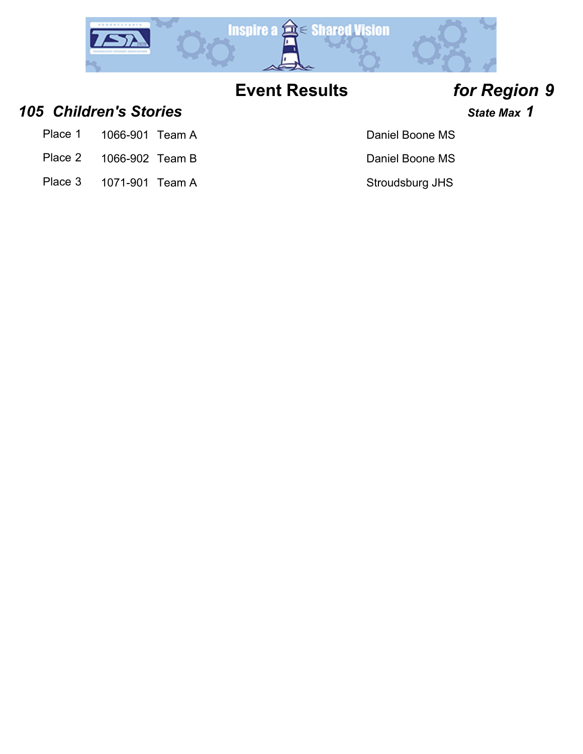

### *105 Children's Stories State Max 1*

- Place 1 1066-901 Team A Daniel Boone MS
- Place 2 1066-902 Team B Daniel Boone MS
- Place 3 1071-901 Team A Stroudsburg JHS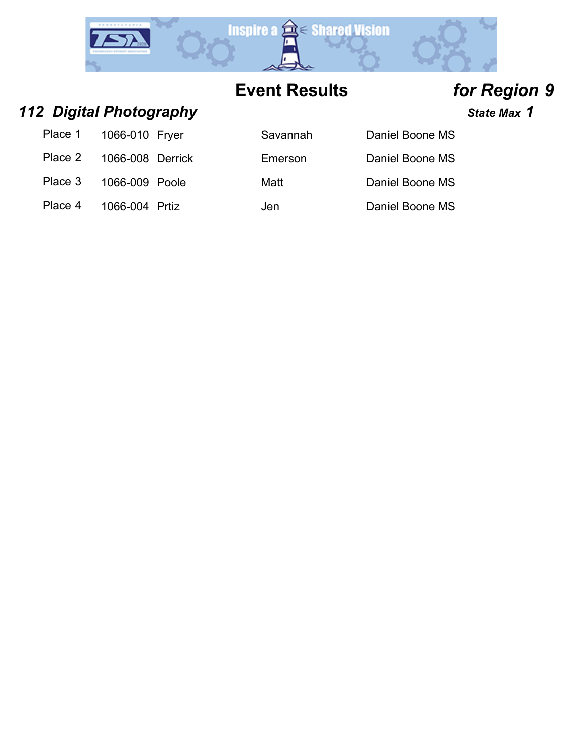

*112 Digital Photography State Max 1*

| Place 1 | 1066-010 Fryer   |  |
|---------|------------------|--|
| Place 2 | 1066-008 Derrick |  |
| Place 3 | 1066-009 Poole   |  |
| Place 4 | 1066-004 Prtiz   |  |

| Place 1 | 1066-010 Fryer            | Savannah | Daniel Boone MS |
|---------|---------------------------|----------|-----------------|
|         | Place 2  1066-008 Derrick | Emerson  | Daniel Boone MS |
| Place 3 | 1066-009 Poole            | Matt     | Daniel Boone MS |
| Place 4 | 1066-004 Prtiz            | Jen      | Daniel Boone MS |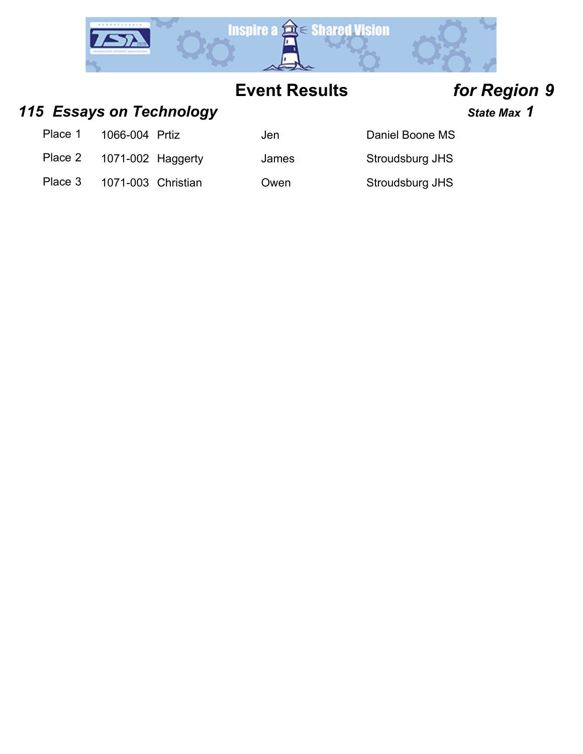

### 115 **Essays on Technology State Max 1** State Max 1

Place 1 1066-004 Prtiz Jen Jen Daniel Boone MS

Place 2 1071-002 Haggerty James Stroudsburg JHS

Place 3 1071-003 Christian Cwen Stroudsburg JHS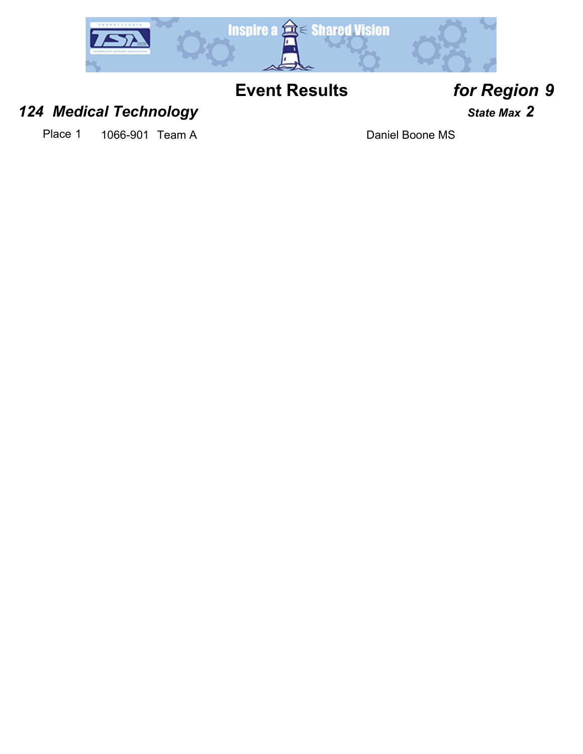

### *124 Medical Technology State Max 2*

Place 1 1066-901 Team A Daniel Boone MS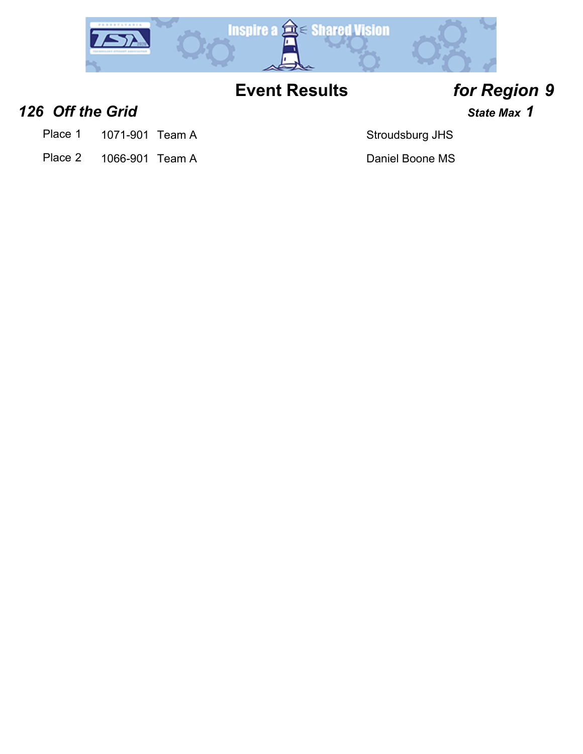

**126 Off the Grid 126 Off the Grid** *n***<sub>1</sub>**  $\frac{1}{2}$  **<b>***State Max* **1** 

- Place 1 1071-901 Team A Stroudsburg JHS
- Place 2 1066-901 Team A Daniel Boone MS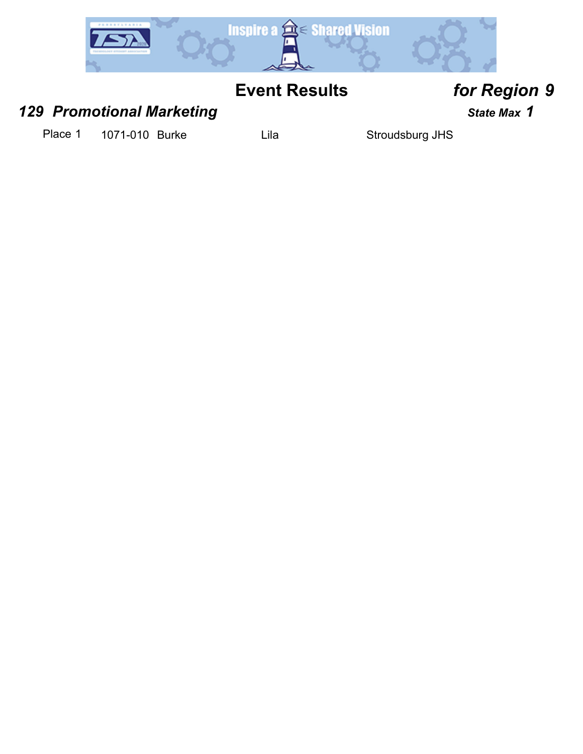

### *129 Promotional Marketing COMPONER <b>129 State Max 1*

Place 1 1071-010 Burke Lila Lila Stroudsburg JHS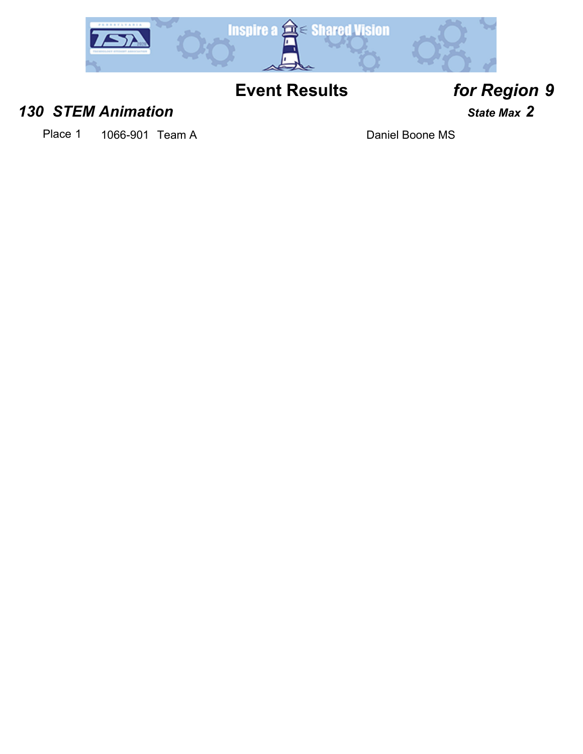

### *130 STEM Animation State Max 2*

Place 1 1066-901 Team A Daniel Boone MS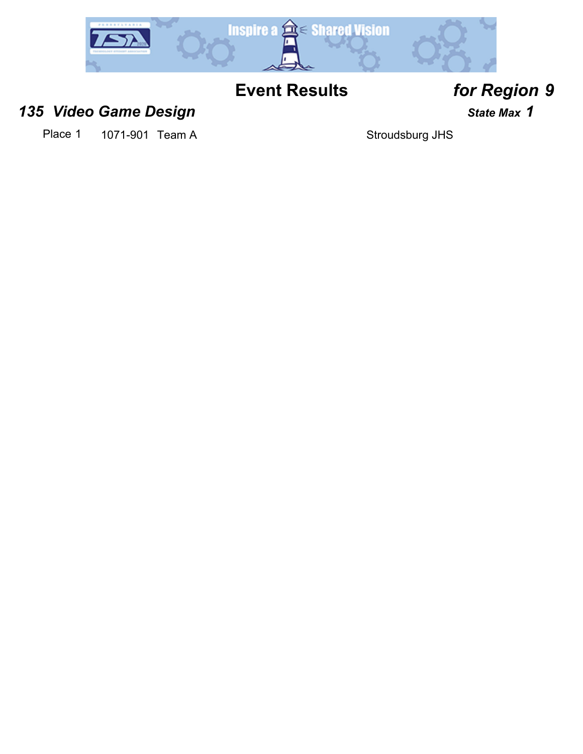

### *135 Video Game Design State Max 1*

Place 1 1071-901 Team A Stroudsburg JHS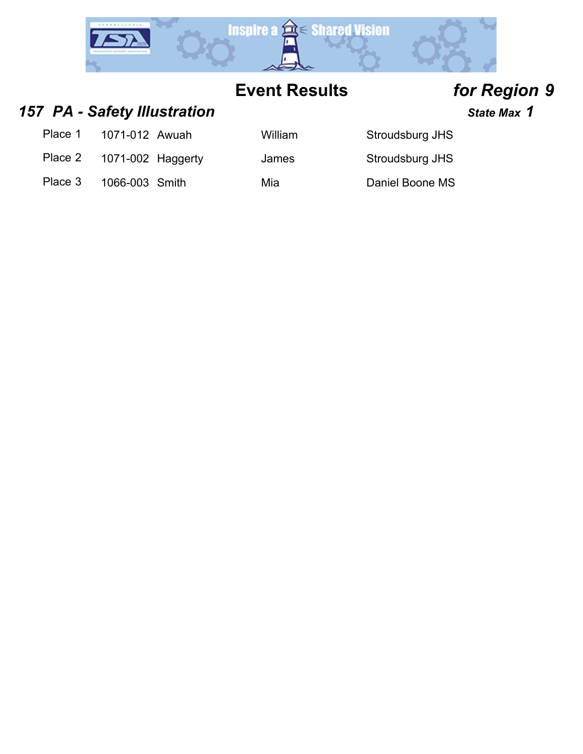

157 PA - Safety Illustration *All State Max* 1

- Place 1 1071-012 Awuah Milliam Stroudsburg JHS
- Place 2 1071-002 Haggerty James Stroudsburg JHS

- 
- Place 3 1066-003 Smith Mia Mia Daniel Boone MS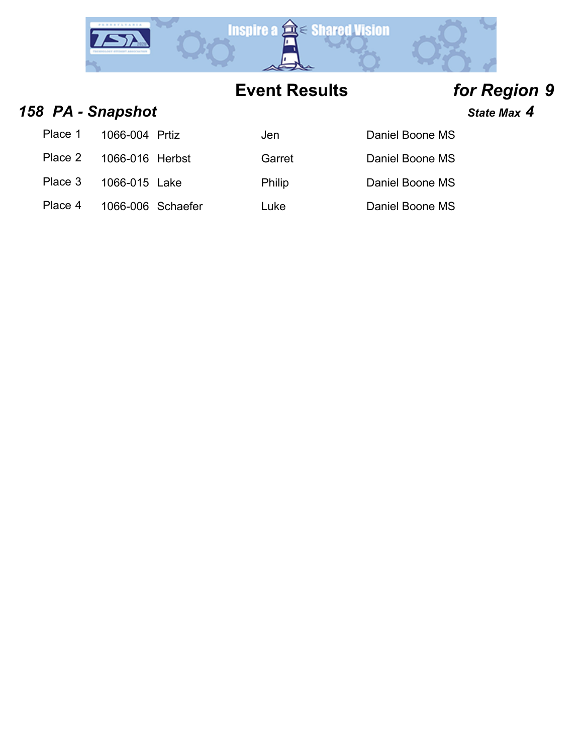

### *158 PA - Snapshot State Max 4*

Place 1 1066-004 Prtiz Solen Daniel Boone Daniel Boone Daniel Boone Daniel Boone D Place 2 1066-016 Herbst Garret Daniel Boone D

Place 4 1066-006 Schaefer Luke Luke Daniel Boone MS

| Daniel Boone MS |  |
|-----------------|--|
| Daniel Boone MS |  |

Place 3 1066-015 Lake Philip Daniel Boone MS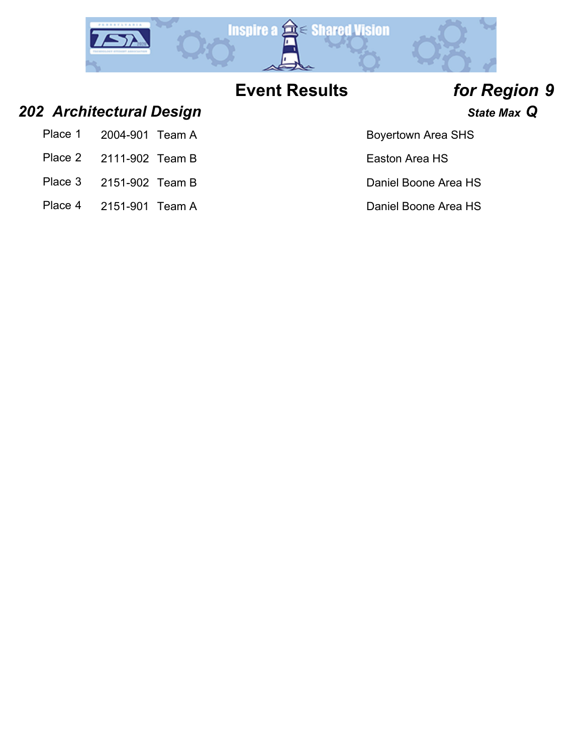

### *202 Architectural Design State Max Q*

| Place 1<br>2004-901 Team A |
|----------------------------|
|----------------------------|

- Place 2 2111-902 Team B Easton Area HS
- Place 3 2151-902 Team B Daniel Boone Area HS
- Place 4 2151-901 Team A Daniel Boone Area HS

### Boyertown Area SHS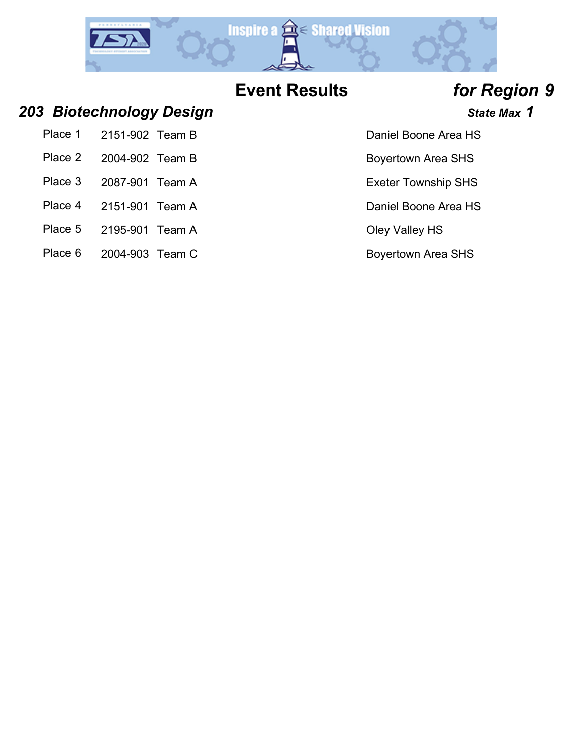

- 203 Biotechnology Design **1989** State Max 1
	- Place 1 2151-902 Team B Daniel Boone Area HS
	- Place 2 2004-902 Team B Boyertown Area SHS
	- Place 3 2087-901 Team A Exeter Township SHS
	- Place 4 2151-901 Team A Daniel Boone Area HS
	- Place 5 2195-901 Team A Cley Valley HS
	- Place 6 2004-903 Team C Boyertown Area SHS
- 
- 
- 
- 
- 
-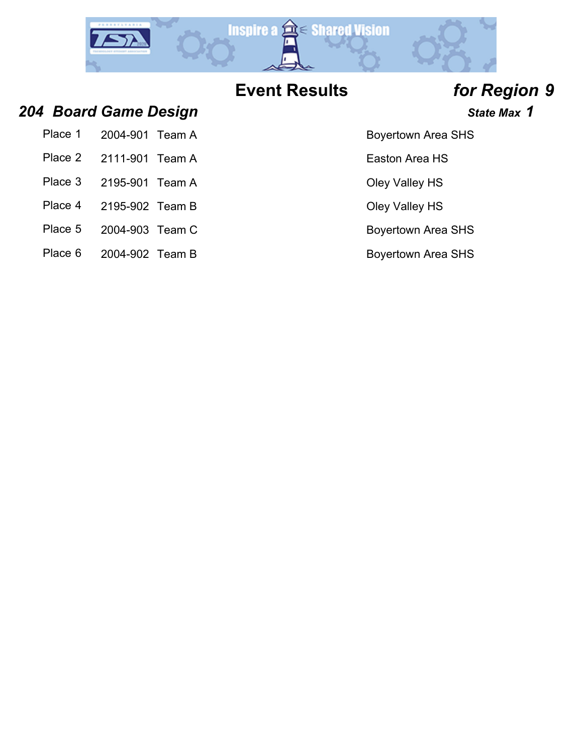

*204 Board Game Design State Max 1*

| Place 1 2004-901 Team A |  |
|-------------------------|--|
| Place 2 2111-901 Team A |  |
| Place 3 2195-901 Team A |  |

- Place 4 2195-902 Team B Cley Valley HS
- Place 5 2004-903 Team C Boyertown Area SHS
- Place 6 2004-902 Team B Boyertown Area SHS

Boyertown Area SHS

Easton Area HS

**Oley Valley HS**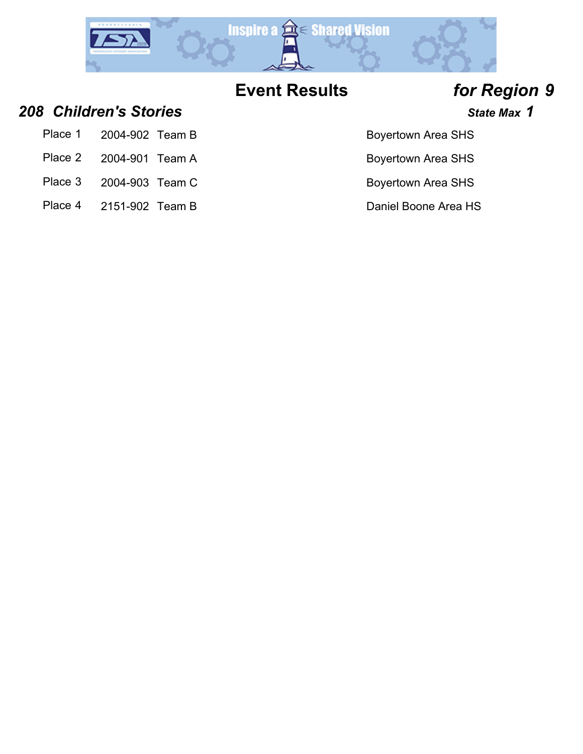

- *208 Children's Stories State Max 1*
	- Place 1 2004-902 Team B Boyertown Area SHS
	- Place 2 2004-901 Team A Boyertown Area SHS
	- Place 3 2004-903 Team C Boyertown Area SHS
	- Place 4 2151-902 Team B Daniel Boone Area HS

- 
-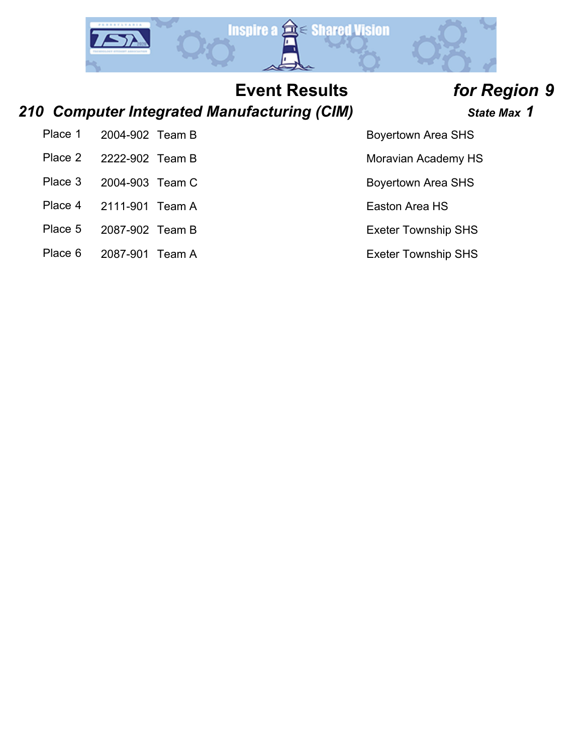

### *210 Computer Integrated Manufacturing (CIM) State Max 1*

Place 1 2004-902 Team B Boyertown Area SHS Place 2 2222-902 Team B Moravian Academy HS

- Place 3 2004-903 Team C Boyertown Area SHS
- Place 4 2111-901 Team A Easton Area HS
- Place 5 2087-902 Team B Exeter Township SHS
- Place 6 2087-901 Team A Exeter Township SHS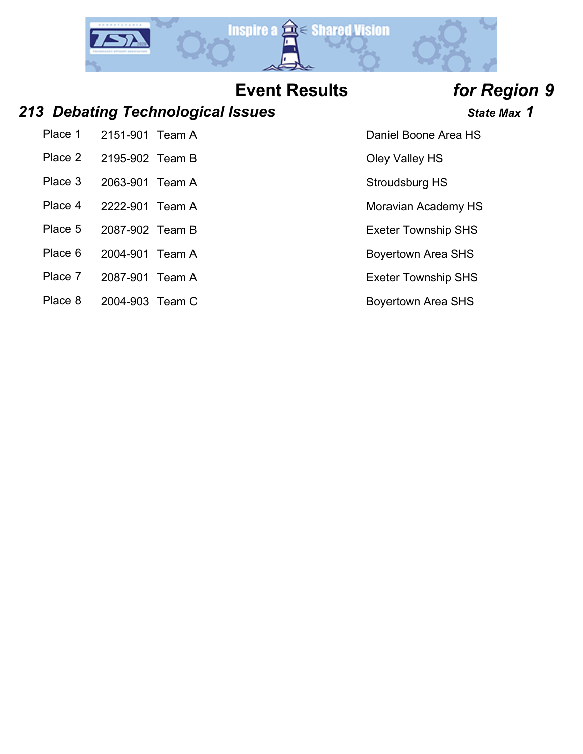

### *213 Debating Technological Issues State Max 1*

Place 1 2151-901 Team A Daniel Boone Area HS

- Place 2 2195-902 Team B Oley Valley HS
- Place 3 2063-901 Team A Stroudsburg HS
- Place 4 2222-901 Team A Moravian Academy HS
- 
- Place 6 2004-901 Team A Boyertown Area SHS
- Place 7 2087-901 Team A Exeter Township SHS
- Place 8 2004-903 Team C Boyertown Area SHS

- 
- 
- 
- 
- Place 5 2087-902 Team B Exeter Township SHS
	-
	-
	-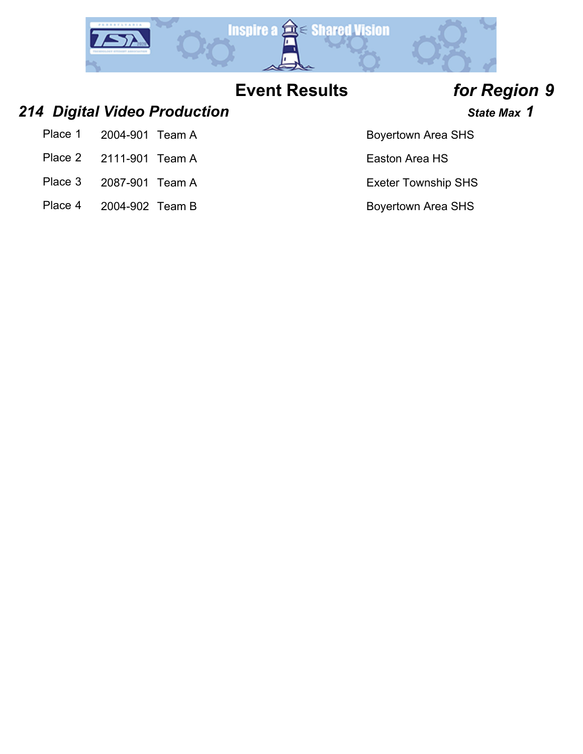

### *214 Digital Video Production State Max 1*

- Place 1 2004-901 Team A Boyertown Area SHS
- Place 2 2111-901 Team A Easton Area HS
- Place 3 2087-901 Team A Exeter Township SHS
- Place 4 2004-902 Team B Boyertown Area SHS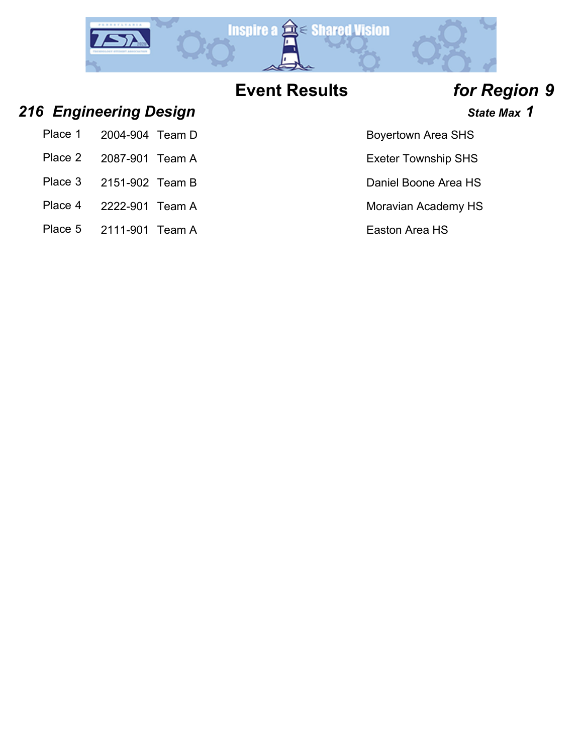

- 
- 
- 
- 
- 

### *216 Engineering Design State Max 1*

- Place 1 2004-904 Team D Boyertown Area SHS
- Place 2 2087-901 Team A Exeter Township SHS
- Place 3 2151-902 Team B Daniel Boone Area HS
- Place 4 2222-901 Team A Moravian Academy HS
- Place 5 2111-901 Team A Easton Area HS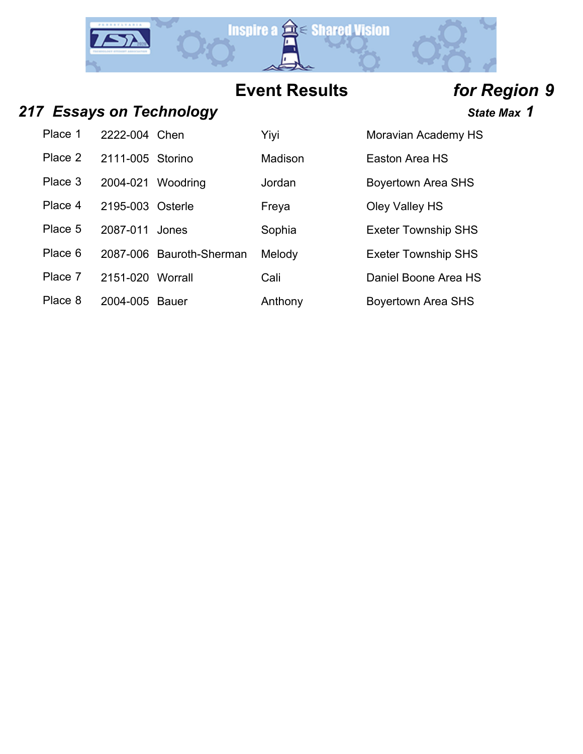

### **217** *Essays on Technology* **State Max 1** State Max 1

Place 1 2222-004 Chen Yiyi Yiyi Moravian Academy HS

Place 2 2111-005 Storino Madison Easton Area HS

Place 3 2004-021 Woodring Jordan Boyertown Area SHS

Place 4 2195-003 Osterle Freya Freya Cley Valley HS

Place 5 2087-011 Jones Sophia Exeter Township SHS

Place 6 2087-006 Bauroth-Sherman Melody **Exeter Township SHS** 

Place 7 2151-020 Worrall Cali Cali Daniel Boone Area HS

| Place 8 | 2004-005 Bauer | Anthony | Boyertown Area SHS |
|---------|----------------|---------|--------------------|
|         |                |         |                    |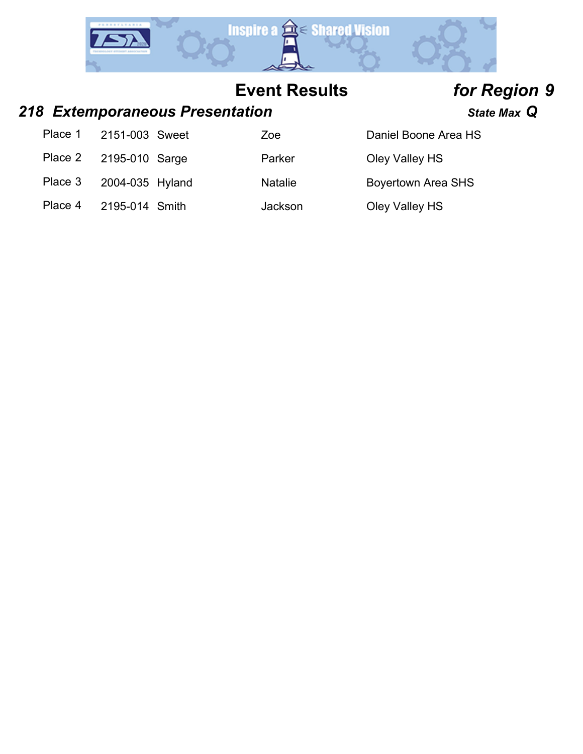

### *218 Extemporaneous Presentation State Max Q*

|         | Place 1 2151-003 Sweet | Zoe            | Daniel Boone Area HS      |
|---------|------------------------|----------------|---------------------------|
| Place 2 | 2195-010 Sarge         | Parker         | Oley Valley HS            |
| Place 3 | 2004-035 Hyland        | <b>Natalie</b> | <b>Boyertown Area SHS</b> |
| Place 4 | 2195-014 Smith         | Jackson        | Oley Valley HS            |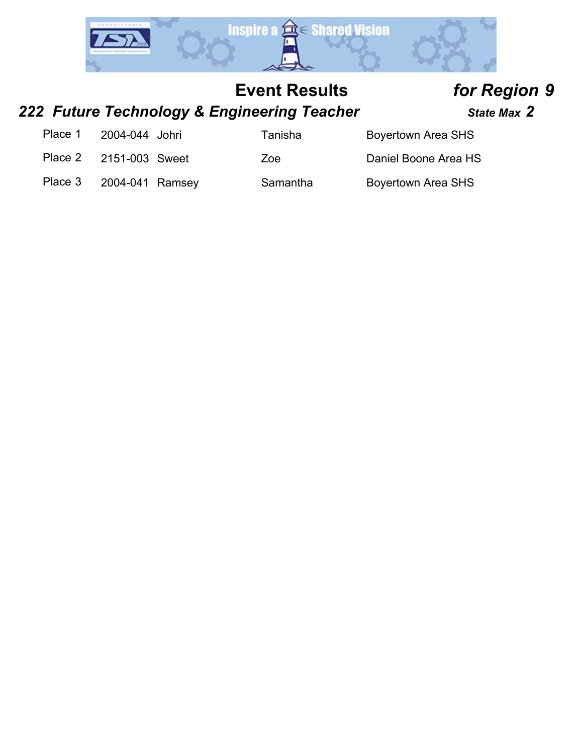

# *222 Future Technology & Engineering Teacher State Max 2*

| Place 1 | 2004-044 Johri |  |
|---------|----------------|--|
|         |                |  |

Tanisha **Boyertown Area SHS** 

Place 2 2151-003 Sweet Zoe Daniel Boone Area HS

Place 3 2004-041 Ramsey Samantha Boyertown Area SHS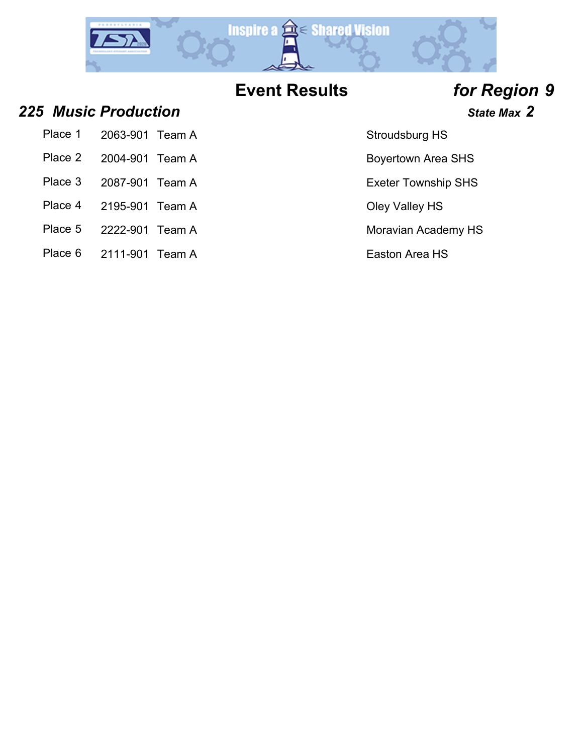

### **225** *Music Production* **State Max 2 325** *Music Production*

- Place 1 2063-901 Team A Stroudsburg HS
- Place 2 2004-901 Team A Boyertown Area SHS
- 
- 
- Place 4 2195-901 Team A Cley Valley HS
- Place 5 2222-901 Team A Moravian Academy HS
- Place 6 2111-901 Team A Easton Area HS

- 
- Place 3 2087-901 Team A Exeter Township SHS
	-
	-
	-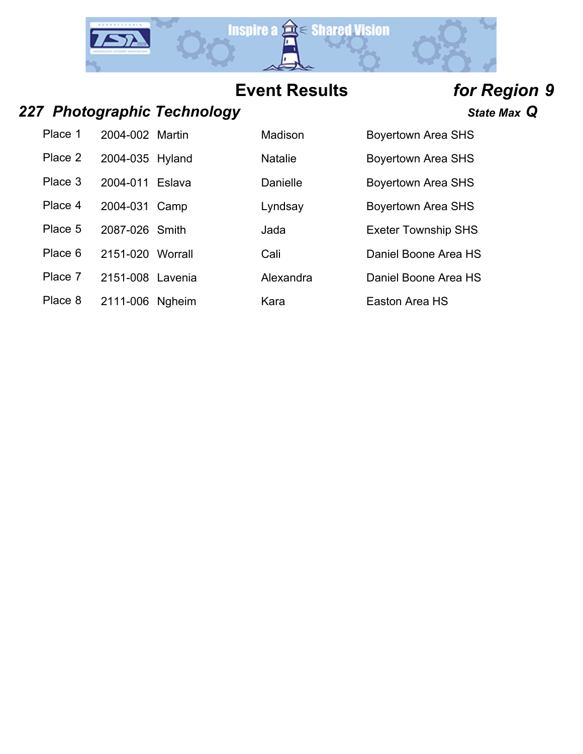

### *227 Photographic Technology State Max Q*

| Place 1 | 2004-002 Martin | Madison         | <b>Boyertown Area SHS</b> |
|---------|-----------------|-----------------|---------------------------|
| Place 2 | 2004-035 Hyland | <b>Natalie</b>  | <b>Boyertown Area SHS</b> |
| Place 3 | 2004-011 Eslava | <b>Danielle</b> | <b>Boyertown Area SHS</b> |

Place 4 2004-031 Camp Lyndsay

Place 5 2087-026 Smith Jada

Place 6 2151-020 Worrall Cali

Place 7 2151-008 Lavenia Alexandra Daniel Boone Area HS

Place 8 2111-006 Ngheim Kara Kara Easton Area HS

| Boyertown Area SHS         |
|----------------------------|
| <b>Boyertown Area SHS</b>  |
| <b>Boyertown Area SHS</b>  |
| <b>Boyertown Area SHS</b>  |
| <b>Exeter Township SHS</b> |
| Daniel Boone Area HS       |
| Paniel Boone ∆rea HS       |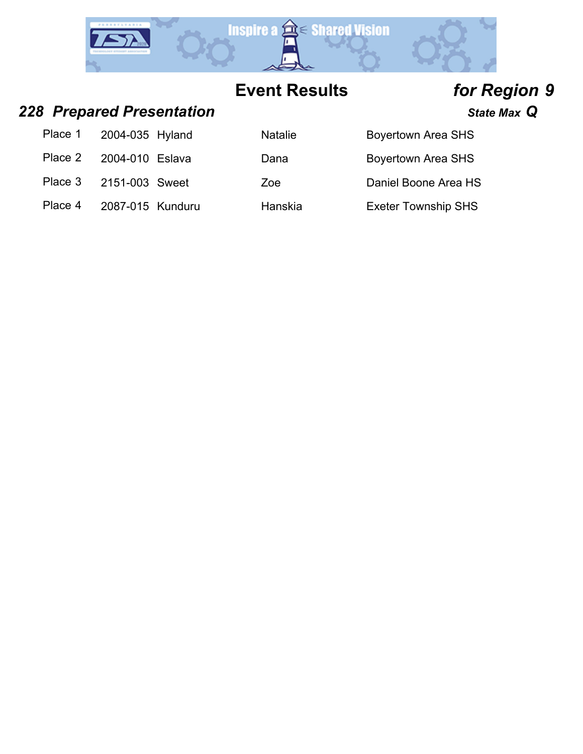

### *228 Prepared Presentation State Max Q*

Place 4 2087-015 Kunduru Hanskia Kunduru Hanskia Exeter Township SHS

| Place 1 2004-035 Hyland | <b>Natalie</b> | <b>Boyertown Area SHS</b> |
|-------------------------|----------------|---------------------------|
| Place 2 2004-010 Eslava | Dana           | <b>Boyertown Area SHS</b> |
| Place 3 2151-003 Sweet  | Zoe            | Daniel Boone Area HS      |
|                         |                |                           |

| า Area SHS |  |
|------------|--|
|            |  |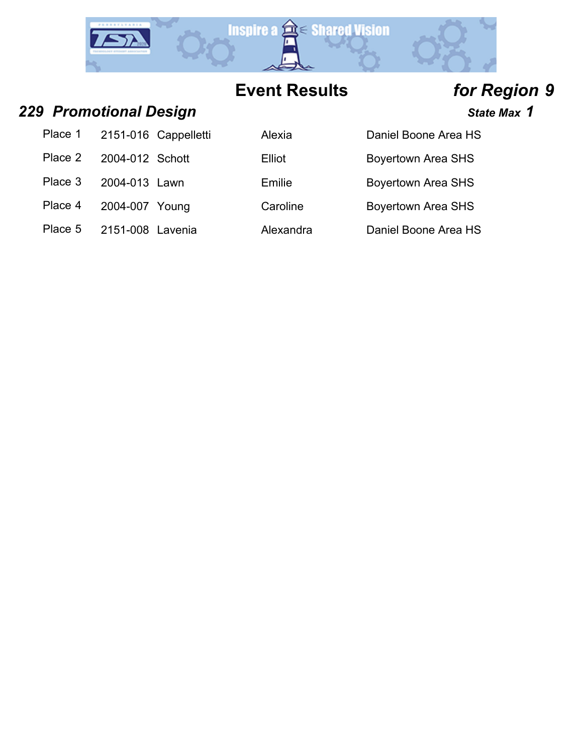

### *229 Promotional Design State Max 1*

| Place 1 | 2151-016 Cappelletti |
|---------|----------------------|
|         |                      |

- Place 2 2004-012 Schott Ell
- Place 3 2004-013 Lawn En
- Place 4 2004-007 Young Ca
- Place 5 2151-008 Lavenia Ale

|         | 7101108001101 <del>1</del> |                              |           |                           | uuu |
|---------|----------------------------|------------------------------|-----------|---------------------------|-----|
|         |                            | Place 1 2151-016 Cappelletti | Alexia    | Daniel Boone Area HS      |     |
| Place 2 | 2004-012 Schott            |                              | Elliot    | <b>Boyertown Area SHS</b> |     |
| Place 3 | 2004-013 Lawn              |                              | Emilie    | <b>Boyertown Area SHS</b> |     |
| Place 4 | 2004-007 Young             |                              | Caroline  | <b>Boyertown Area SHS</b> |     |
| Place 5 | 2151-008 Lavenia           |                              | Alexandra | Daniel Boone Area HS      |     |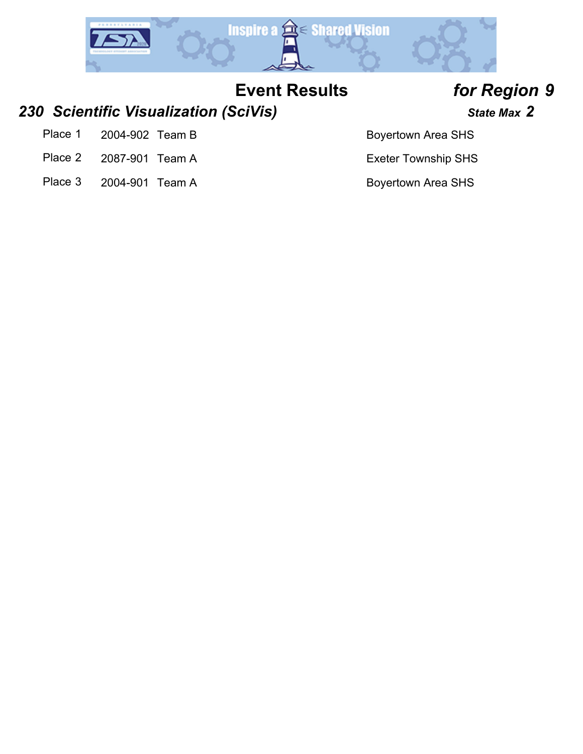

### *230 Scientific Visualization (SciVis) State Max 2*

- Place 1 2004-902 Team B Boyertown Area SHS
- Place 2 2087-901 Team A Exeter Township SHS
- Place 3 2004-901 Team A Boyertown Area SHS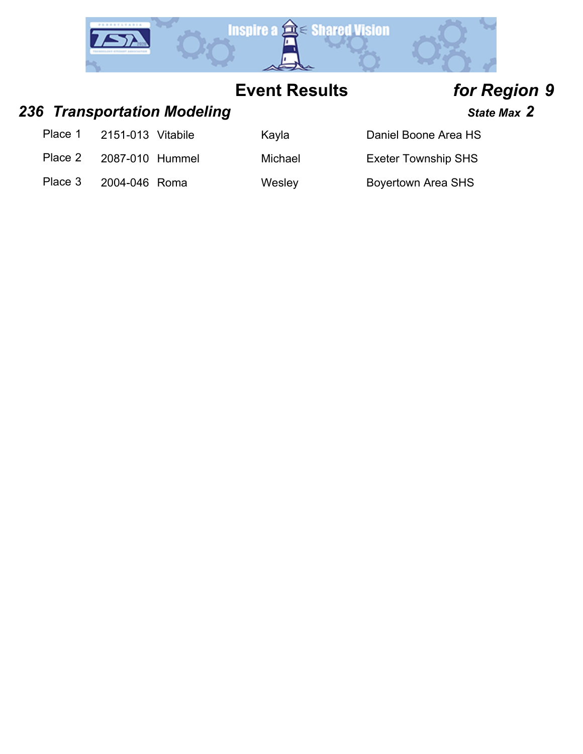

### 236 *Transportation Modeling* **State Max 2 State Max 2**

- Place 1 2151-013 Vitabile Kayla Chaniel Boone Area HS
- Place 2 2087-010 Hummel Michael Exeter Township SHS

Place 3 2004-046 Roma Wesley Boyertown Area SHS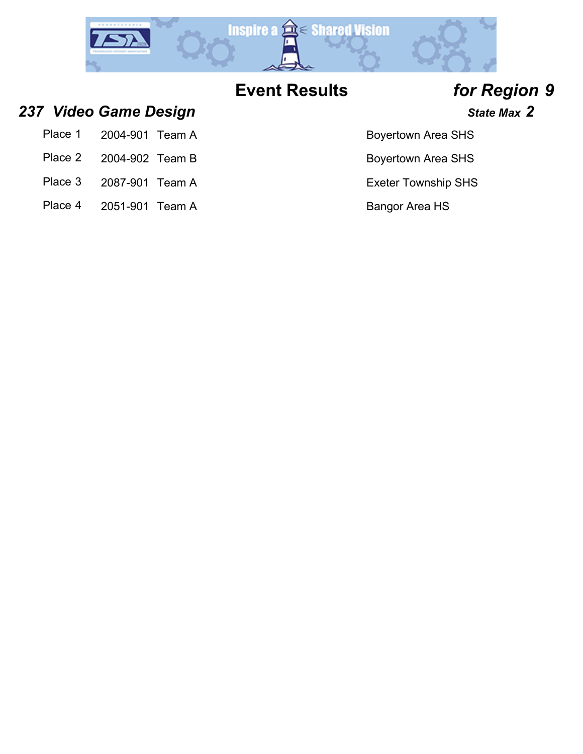

- **237 Video Game Design** *State Max* **2 and** *State Max* **2** 
	- Place 1 2004-901 Team A Boyertown Area SHS
	- Place 2 2004-902 Team B Boyertown Area SHS
	- Place 3 2087-901 Team A Exeter Township SHS
	- Place 4 2051-901 Team A Bangor Area HS

- 
- 
-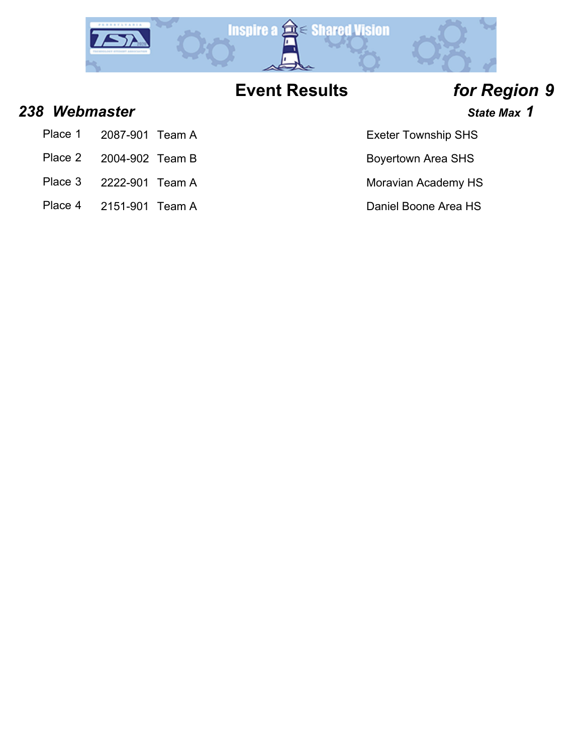

### *238 Webmaster State Max 1*

- Place 1 2087-901 Team A Exeter Township SHS
- Place 2 2004-902 Team B Boyertown Area SHS
- Place 3 2222-901 Team A Moravian Academy HS
- Place 4 2151-901 Team A Daniel Boone Area HS

- 
-